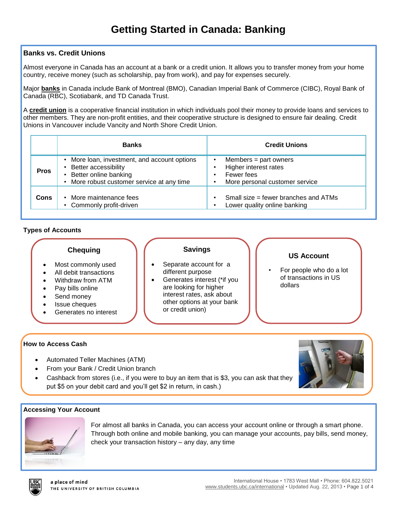## **Banks vs. Credit Unions**

Almost everyone in Canada has an account at a bank or a credit union. It allows you to transfer money from your home country, receive money (such as scholarship, pay from work), and pay for expenses securely.

Major **banks** in Canada include Bank of Montreal (BMO), Canadian Imperial Bank of Commerce (CIBC), Royal Bank of Canada (RBC), Scotiabank, and TD Canada Trust.

A **credit union** is a cooperative financial institution in which individuals pool their money to provide loans and services to other members. They are non-profit entities, and their cooperative structure is designed to ensure fair dealing. Credit Unions in Vancouver include Vancity and North Shore Credit Union.

|             | <b>Banks</b>                                                                                                                                     | <b>Credit Unions</b>                                                                             |
|-------------|--------------------------------------------------------------------------------------------------------------------------------------------------|--------------------------------------------------------------------------------------------------|
| <b>Pros</b> | More loan, investment, and account options<br><b>Better accessibility</b><br>Better online banking<br>• More robust customer service at any time | Members $=$ part owners<br>Higher interest rates<br>Fewer fees<br>More personal customer service |
| Cons        | • More maintenance fees<br>• Commonly profit-driven                                                                                              | Small size $=$ fewer branches and ATMs<br>Lower quality online banking                           |

## **Types of Accounts**

## **Chequing**

- Most commonly used
- All debit transactions
- Withdraw from ATM
- Pay bills online
- Send money
- Issue cheques
- Generates no interest

## **Savings**

- Separate account for a different purpose
- Generates interest (\*if you are looking for higher interest rates, ask about other options at your bank or credit union)

## **US Account**

• For people who do a lot of transactions in US dollars

## **How to Access Cash**

- Automated Teller Machines (ATM)
- From your Bank / Credit Union branch
- Cashback from stores (i.e., if you were to buy an item that is \$3, you can ask that they put \$5 on your debit card and you'll get \$2 in return, in cash.)

#### **Accessing Your Account**



For almost all banks in Canada, you can access your account online or through a smart phone. Through both online and mobile banking, you can manage your accounts, pay bills, send money, check your transaction history – any day, any time



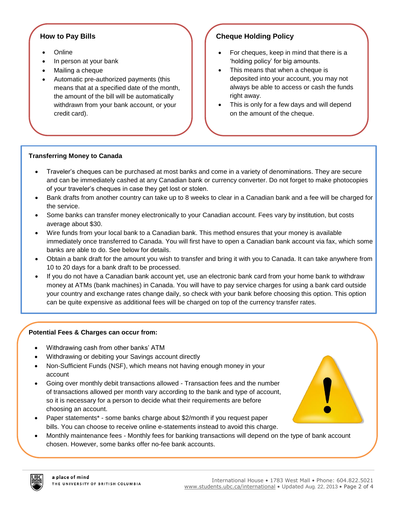## **How to Pay Bills**

- **Online**
- In person at your bank
- Mailing a cheque
- Automatic pre-authorized payments (this means that at a specified date of the month, the amount of the bill will be automatically withdrawn from your bank account, or your credit card).

# **Cheque Holding Policy**

- For cheques, keep in mind that there is a 'holding policy' for big amounts.
- This means that when a cheque is deposited into your account, you may not always be able to access or cash the funds right away.
- This is only for a few days and will depend on the amount of the cheque.

## **Transferring Money to Canada**

- Traveler's cheques can be purchased at most banks and come in a variety of denominations. They are secure and can be immediately cashed at any Canadian bank or currency converter. Do not forget to make photocopies of your traveler's cheques in case they get lost or stolen.
- Bank drafts from another country can take up to 8 weeks to clear in a Canadian bank and a fee will be charged for the service.
- Some banks can transfer money electronically to your Canadian account. Fees vary by institution, but costs average about \$30.
- Wire funds from your local bank to a Canadian bank. This method ensures that your money is available immediately once transferred to Canada. You will first have to open a Canadian bank account via fax, which some banks are able to do. See below for details.
- Obtain a bank draft for the amount you wish to transfer and bring it with you to Canada. It can take anywhere from 10 to 20 days for a bank draft to be processed.
- If you do not have a Canadian bank account yet, use an electronic bank card from your home bank to withdraw money at ATMs (bank machines) in Canada. You will have to pay service charges for using a bank card outside your country and exchange rates change daily, so check with your bank before choosing this option. This option can be quite expensive as additional fees will be charged on top of the currency transfer rates.

#### **Potential Fees & Charges can occur from:**

- Withdrawing cash from other banks' ATM
- Withdrawing or debiting your Savings account directly
- Non-Sufficient Funds (NSF), which means not having enough money in your account
- Going over monthly debit transactions allowed Transaction fees and the number of transactions allowed per month vary according to the bank and type of account, so it is necessary for a person to decide what their requirements are before choosing an account.
- Paper statements\* some banks charge about \$2/month if you request paper bills. You can choose to receive online e-statements instead to avoid this charge.
- Monthly maintenance fees Monthly fees for banking transactions will depend on the type of bank account chosen. However, some banks offer no-fee bank accounts.



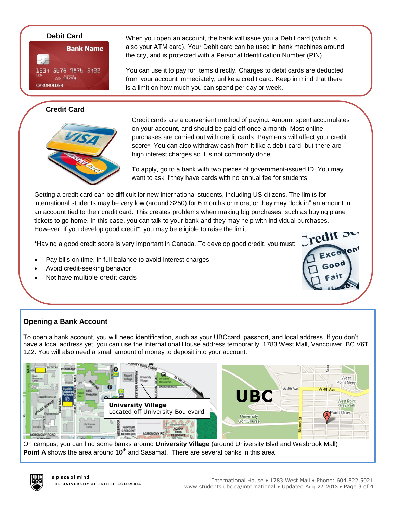

# **Credit Card**



**Debit Card** When you open an account, the bank will issue you a Debit card (which is also your ATM card). Your Debit card can be used in bank machines around the city, and is protected with a Personal Identification Number (PIN).

> You can use it to pay for items directly. Charges to debit cards are deducted from your account immediately, unlike a credit card. Keep in mind that there is a limit on how much you can spend per day or week.

Credit cards are a convenient method of paying. Amount spent accumulates on your account, and should be paid off once a month. Most online purchases are carried out with credit cards. Payments will affect your credit score\*. You can also withdraw cash from it like a debit card, but there are high interest charges so it is not commonly done.

To apply, go to a bank with two pieces of government-issued ID. You may want to ask if they have cards with no annual fee for students

Getting a credit card can be difficult for new international students, including US citizens. The limits for international students may be very low (around \$250) for 6 months or more, or they may "lock in" an amount in an account tied to their credit card. This creates problems when making big purchases, such as buying plane tickets to go home. In this case, you can talk to your bank and they may help with individual purchases. However, if you develop good credit\*, you may be eligible to raise the limit.

\*Having a good credit score is very important in Canada. To develop good credit, you must:

- Pay bills on time, in full-balance to avoid interest charges
- Avoid credit-seeking behavior
- Not have multiple credit cards



## **Opening a Bank Account**

To open a bank account, you will need identification, such as your UBCcard, passport, and local address. If you don't have a local address yet, you can use the International House address temporarily: 1783 West Mall, Vancouver, BC V6T 1Z2. You will also need a small amount of money to deposit into your account.



On campus, you can find some banks around **University Village** (around University Blvd and Wesbrook Mall) Point A shows the area around 10<sup>th</sup> and Sasamat. There are several banks in this area.